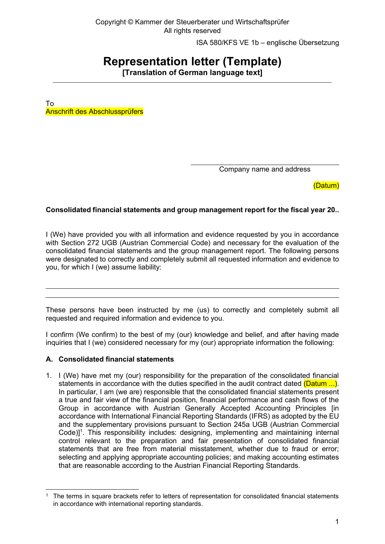Copyright © Kammer der Steuerberater und Wirtschaftsprüfer All rights reserved

ISA 580/KFS VE 1b – englische Übersetzung

# **Representation letter (Template)**

**[Translation of German language text]**  $\_$  ,  $\_$  ,  $\_$  ,  $\_$  ,  $\_$  ,  $\_$  ,  $\_$  ,  $\_$  ,  $\_$  ,  $\_$  ,  $\_$  ,  $\_$  ,  $\_$  ,  $\_$  ,  $\_$  ,  $\_$  ,  $\_$  ,  $\_$  ,  $\_$  ,  $\_$  ,  $\_$  ,  $\_$  ,  $\_$  ,  $\_$  ,  $\_$  ,  $\_$  ,  $\_$  ,  $\_$  ,  $\_$  ,  $\_$  ,  $\_$  ,  $\_$  ,  $\_$  ,  $\_$  ,  $\_$  ,  $\_$  ,  $\_$  ,

To Anschrift des Abschlussprüfers

Company name and address

(Datum)

# **Consolidated financial statements and group management report for the fiscal year 20..**

I (We) have provided you with all information and evidence requested by you in accordance with Section 272 UGB (Austrian Commercial Code) and necessary for the evaluation of the consolidated financial statements and the group management report. The following persons were designated to correctly and completely submit all requested information and evidence to you, for which I (we) assume liability:

These persons have been instructed by me (us) to correctly and completely submit all requested and required information and evidence to you.

I confirm (We confirm) to the best of my (our) knowledge and belief, and after having made inquiries that I (we) considered necessary for my (our) appropriate information the following:

## **A. Consolidated financial statements**

1. I (We) have met my (our) responsibility for the preparation of the consolidated financial statements in accordance with the duties specified in the audit contract dated (Datum ...). In particular, I am (we are) responsible that the consolidated financial statements present a true and fair view of the financial position, financial performance and cash flows of the Group in accordance with Austrian Generally Accepted Accounting Principles [in accordance with International Financial Reporting Standards (IFRS) as adopted by the EU and the supplementary provisions pursuant to Section 245a UGB (Austrian Commercial Code)]<sup>1</sup>. This responsibility includes: designing, implementing and maintaining internal control relevant to the preparation and fair presentation of consolidated financial statements that are free from material misstatement, whether due to fraud or error; selecting and applying appropriate accounting policies; and making accounting estimates that are reasonable according to the Austrian Financial Reporting Standards.

<sup>1</sup> The terms in square brackets refer to letters of representation for consolidated financial statements in accordance with international reporting standards.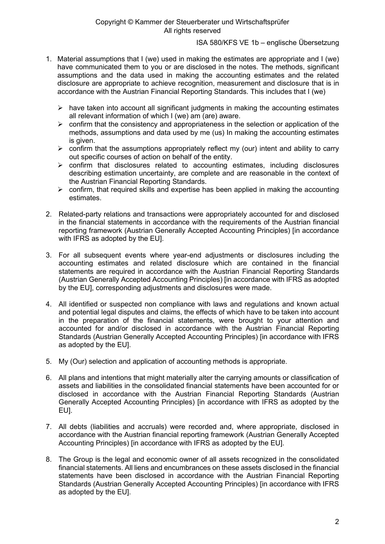- 1. Material assumptions that I (we) used in making the estimates are appropriate and I (we) have communicated them to you or are disclosed in the notes. The methods, significant assumptions and the data used in making the accounting estimates and the related disclosure are appropriate to achieve recognition, measurement and disclosure that is in accordance with the Austrian Financial Reporting Standards. This includes that I (we)
	- $\triangleright$  have taken into account all significant judgments in making the accounting estimates all relevant information of which I (we) am (are) aware.
	- $\triangleright$  confirm that the consistency and appropriateness in the selection or application of the methods, assumptions and data used by me (us) In making the accounting estimates is given.
	- $\triangleright$  confirm that the assumptions appropriately reflect my (our) intent and ability to carry out specific courses of action on behalf of the entity.
	- $\triangleright$  confirm that disclosures related to accounting estimates, including disclosures describing estimation uncertainty, are complete and are reasonable in the context of the Austrian Financial Reporting Standards.
	- $\triangleright$  confirm, that required skills and expertise has been applied in making the accounting estimates.
- 2. Related-party relations and transactions were appropriately accounted for and disclosed in the financial statements in accordance with the requirements of the Austrian financial reporting framework (Austrian Generally Accepted Accounting Principles) [in accordance with IFRS as adopted by the EU].
- 3. For all subsequent events where year-end adjustments or disclosures including the accounting estimates and related disclosure which are contained in the financial statements are required in accordance with the Austrian Financial Reporting Standards (Austrian Generally Accepted Accounting Principles) [in accordance with IFRS as adopted by the EU], corresponding adjustments and disclosures were made.
- 4. All identified or suspected non compliance with laws and regulations and known actual and potential legal disputes and claims, the effects of which have to be taken into account in the preparation of the financial statements, were brought to your attention and accounted for and/or disclosed in accordance with the Austrian Financial Reporting Standards (Austrian Generally Accepted Accounting Principles) [in accordance with IFRS as adopted by the EU].
- 5. My (Our) selection and application of accounting methods is appropriate.
- 6. All plans and intentions that might materially alter the carrying amounts or classification of assets and liabilities in the consolidated financial statements have been accounted for or disclosed in accordance with the Austrian Financial Reporting Standards (Austrian Generally Accepted Accounting Principles) [in accordance with IFRS as adopted by the EU].
- 7. All debts (liabilities and accruals) were recorded and, where appropriate, disclosed in accordance with the Austrian financial reporting framework (Austrian Generally Accepted Accounting Principles) [in accordance with IFRS as adopted by the EU].
- 8. The Group is the legal and economic owner of all assets recognized in the consolidated financial statements. All liens and encumbrances on these assets disclosed in the financial statements have been disclosed in accordance with the Austrian Financial Reporting Standards (Austrian Generally Accepted Accounting Principles) [in accordance with IFRS as adopted by the EU].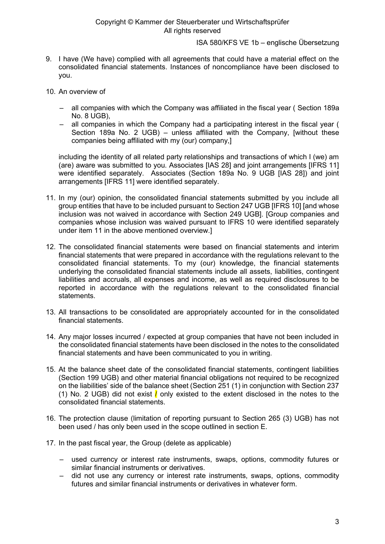#### Copyright © Kammer der Steuerberater und Wirtschaftsprüfer All rights reserved

ISA 580/KFS VE 1b – englische Übersetzung

- 9. I have (We have) complied with all agreements that could have a material effect on the consolidated financial statements. Instances of noncompliance have been disclosed to you.
- 10. An overview of
	- all companies with which the Company was affiliated in the fiscal year ( Section 189a No. 8 UGB),
	- all companies in which the Company had a participating interest in the fiscal year ( Section 189a No. 2 UGB) – unless affiliated with the Company, [without these companies being affiliated with my (our) company,]

including the identity of all related party relationships and transactions of which I (we) am (are) aware was submitted to you. Associates [IAS 28] and joint arrangements [IFRS 11] were identified separately. Associates (Section 189a No. 9 UGB [IAS 28]) and joint arrangements [IFRS 11] were identified separately.

- 11. In my (our) opinion, the consolidated financial statements submitted by you include all group entities that have to be included pursuant to Section 247 UGB [IFRS 10] [and whose inclusion was not waived in accordance with Section 249 UGB]. [Group companies and companies whose inclusion was waived pursuant to IFRS 10 were identified separately under item 11 in the above mentioned overview.]
- 12. The consolidated financial statements were based on financial statements and interim financial statements that were prepared in accordance with the regulations relevant to the consolidated financial statements. To my (our) knowledge, the financial statements underlying the consolidated financial statements include all assets, liabilities, contingent liabilities and accruals, all expenses and income, as well as required disclosures to be reported in accordance with the regulations relevant to the consolidated financial statements.
- 13. All transactions to be consolidated are appropriately accounted for in the consolidated financial statements.
- 14. Any major losses incurred / expected at group companies that have not been included in the consolidated financial statements have been disclosed in the notes to the consolidated financial statements and have been communicated to you in writing.
- 15. At the balance sheet date of the consolidated financial statements, contingent liabilities (Section 199 UGB) and other material financial obligations not required to be recognized on the liabilities' side of the balance sheet (Section 251 (1) in conjunction with Section 237 (1) No. 2 UGB) did not exist  $\ell$  only existed to the extent disclosed in the notes to the consolidated financial statements.
- 16. The protection clause (limitation of reporting pursuant to Section 265 (3) UGB) has not been used / has only been used in the scope outlined in section E.
- 17. In the past fiscal year, the Group (delete as applicable)
	- used currency or interest rate instruments, swaps, options, commodity futures or similar financial instruments or derivatives.
	- did not use any currency or interest rate instruments, swaps, options, commodity futures and similar financial instruments or derivatives in whatever form.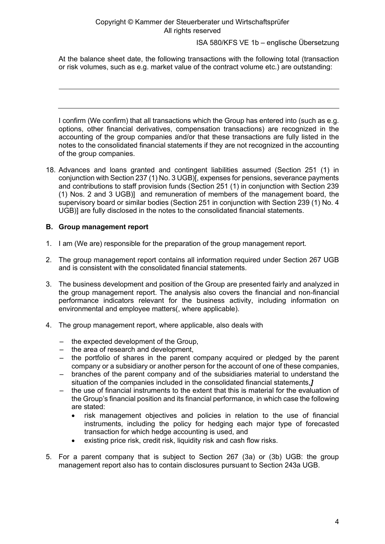At the balance sheet date, the following transactions with the following total (transaction or risk volumes, such as e.g. market value of the contract volume etc.) are outstanding:

I confirm (We confirm) that all transactions which the Group has entered into (such as e.g. options, other financial derivatives, compensation transactions) are recognized in the accounting of the group companies and/or that these transactions are fully listed in the notes to the consolidated financial statements if they are not recognized in the accounting of the group companies.

18. Advances and loans granted and contingent liabilities assumed (Section 251 (1) in conjunction with Section 237 (1) No. 3 UGB)[, expenses for pensions, severance payments and contributions to staff provision funds (Section 251 (1) in conjunction with Section 239 (1) Nos. 2 and 3 UGB)] and remuneration of members of the management board, the supervisory board or similar bodies (Section 251 in conjunction with Section 239 (1) No. 4 UGB)] are fully disclosed in the notes to the consolidated financial statements.

## **B. Group management report**

- 1. I am (We are) responsible for the preparation of the group management report.
- 2. The group management report contains all information required under Section 267 UGB and is consistent with the consolidated financial statements.
- 3. The business development and position of the Group are presented fairly and analyzed in the group management report. The analysis also covers the financial and non-financial performance indicators relevant for the business activity, including information on environmental and employee matters(, where applicable).
- 4. The group management report, where applicable, also deals with
	- the expected development of the Group,
	- the area of research and development,
	- the portfolio of shares in the parent company acquired or pledged by the parent company or a subsidiary or another person for the account of one of these companies,
	- branches of the parent company and of the subsidiaries material to understand the situation of the companies included in the consolidated financial statements,*]*
	- the use of financial instruments to the extent that this is material for the evaluation of the Group's financial position and its financial performance, in which case the following are stated:
		- risk management objectives and policies in relation to the use of financial instruments, including the policy for hedging each major type of forecasted transaction for which hedge accounting is used, and
		- existing price risk, credit risk, liquidity risk and cash flow risks.
- 5. For a parent company that is subject to Section 267 (3a) or (3b) UGB: the group management report also has to contain disclosures pursuant to Section 243a UGB.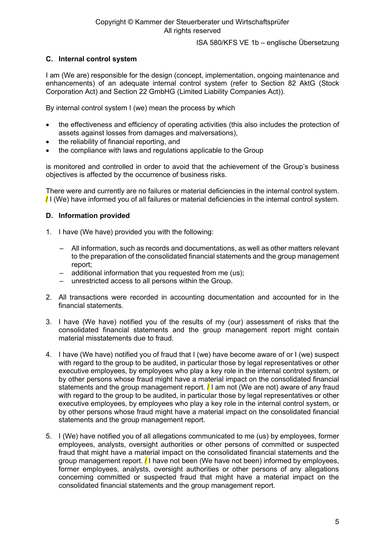# **C. Internal control system**

I am (We are) responsible for the design (concept, implementation, ongoing maintenance and enhancements) of an adequate internal control system (refer to Section 82 AktG (Stock Corporation Act) and Section 22 GmbHG (Limited Liability Companies Act)).

By internal control system I (we) mean the process by which

- the effectiveness and efficiency of operating activities (this also includes the protection of assets against losses from damages and malversations),
- the reliability of financial reporting, and
- the compliance with laws and regulations applicable to the Group

is monitored and controlled in order to avoid that the achievement of the Group's business objectives is affected by the occurrence of business risks.

There were and currently are no failures or material deficiencies in the internal control system. / I (We) have informed you of all failures or material deficiencies in the internal control system.

## **D. Information provided**

- 1. I have (We have) provided you with the following:
	- All information, such as records and documentations, as well as other matters relevant to the preparation of the consolidated financial statements and the group management report;
	- additional information that you requested from me (us);
	- unrestricted access to all persons within the Group.
- 2. All transactions were recorded in accounting documentation and accounted for in the financial statements.
- 3. I have (We have) notified you of the results of my (our) assessment of risks that the consolidated financial statements and the group management report might contain material misstatements due to fraud.
- 4. I have (We have) notified you of fraud that I (we) have become aware of or I (we) suspect with regard to the group to be audited, in particular those by legal representatives or other executive employees, by employees who play a key role in the internal control system, or by other persons whose fraud might have a material impact on the consolidated financial statements and the group management report.  $\frac{1}{1}$  am not (We are not) aware of any fraud with regard to the group to be audited, in particular those by legal representatives or other executive employees, by employees who play a key role in the internal control system, or by other persons whose fraud might have a material impact on the consolidated financial statements and the group management report.
- 5. I (We) have notified you of all allegations communicated to me (us) by employees, former employees, analysts, oversight authorities or other persons of committed or suspected fraud that might have a material impact on the consolidated financial statements and the group management report.  $\frac{1}{2}$  have not been (We have not been) informed by employees, former employees, analysts, oversight authorities or other persons of any allegations concerning committed or suspected fraud that might have a material impact on the consolidated financial statements and the group management report.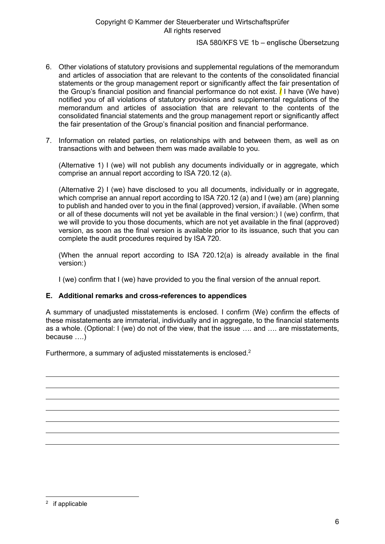- 6. Other violations of statutory provisions and supplemental regulations of the memorandum and articles of association that are relevant to the contents of the consolidated financial statements or the group management report or significantly affect the fair presentation of the Group's financial position and financial performance do not exist.  $\prime$  I have (We have) notified you of all violations of statutory provisions and supplemental regulations of the memorandum and articles of association that are relevant to the contents of the consolidated financial statements and the group management report or significantly affect the fair presentation of the Group's financial position and financial performance.
- 7. Information on related parties, on relationships with and between them, as well as on transactions with and between them was made available to you.

(Alternative 1) I (we) will not publish any documents individually or in aggregate, which comprise an annual report according to ISA 720.12 (a).

(Alternative 2) I (we) have disclosed to you all documents, individually or in aggregate, which comprise an annual report according to ISA 720.12 (a) and I (we) am (are) planning to publish and handed over to you in the final (approved) version, if available. (When some or all of these documents will not yet be available in the final version:) I (we) confirm, that we will provide to you those documents, which are not yet available in the final (approved) version, as soon as the final version is available prior to its issuance, such that you can complete the audit procedures required by ISA 720.

(When the annual report according to ISA 720.12(a) is already available in the final version:)

I (we) confirm that I (we) have provided to you the final version of the annual report.

#### **E. Additional remarks and cross-references to appendices**

A summary of unadjusted misstatements is enclosed. I confirm (We) confirm the effects of these misstatements are immaterial, individually and in aggregate, to the financial statements as a whole. (Optional: I (we) do not of the view, that the issue …. and …. are misstatements, because ….)

Furthermore, a summary of adjusted misstatements is enclosed.<sup>2</sup>

<sup>2</sup> if applicable